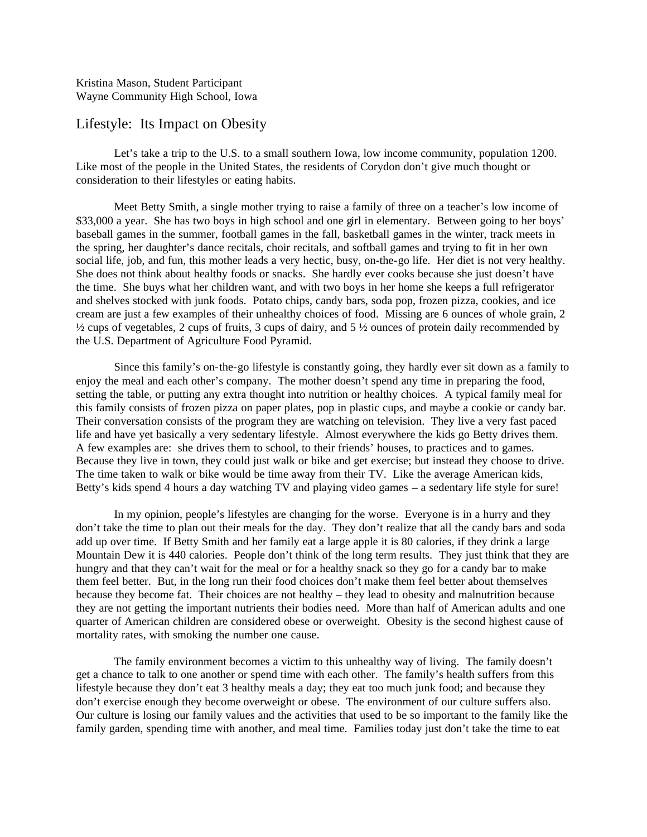Kristina Mason, Student Participant Wayne Community High School, Iowa

## Lifestyle: Its Impact on Obesity

Let's take a trip to the U.S. to a small southern Iowa, low income community, population 1200. Like most of the people in the United States, the residents of Corydon don't give much thought or consideration to their lifestyles or eating habits.

Meet Betty Smith, a single mother trying to raise a family of three on a teacher's low income of \$33,000 a year. She has two boys in high school and one girl in elementary. Between going to her boys' baseball games in the summer, football games in the fall, basketball games in the winter, track meets in the spring, her daughter's dance recitals, choir recitals, and softball games and trying to fit in her own social life, job, and fun, this mother leads a very hectic, busy, on-the-go life. Her diet is not very healthy. She does not think about healthy foods or snacks. She hardly ever cooks because she just doesn't have the time. She buys what her children want, and with two boys in her home she keeps a full refrigerator and shelves stocked with junk foods. Potato chips, candy bars, soda pop, frozen pizza, cookies, and ice cream are just a few examples of their unhealthy choices of food. Missing are 6 ounces of whole grain, 2  $\frac{1}{2}$  cups of vegetables, 2 cups of fruits, 3 cups of dairy, and 5  $\frac{1}{2}$  ounces of protein daily recommended by the U.S. Department of Agriculture Food Pyramid.

Since this family's on-the-go lifestyle is constantly going, they hardly ever sit down as a family to enjoy the meal and each other's company. The mother doesn't spend any time in preparing the food, setting the table, or putting any extra thought into nutrition or healthy choices. A typical family meal for this family consists of frozen pizza on paper plates, pop in plastic cups, and maybe a cookie or candy bar. Their conversation consists of the program they are watching on television. They live a very fast paced life and have yet basically a very sedentary lifestyle. Almost everywhere the kids go Betty drives them. A few examples are: she drives them to school, to their friends' houses, to practices and to games. Because they live in town, they could just walk or bike and get exercise; but instead they choose to drive. The time taken to walk or bike would be time away from their TV. Like the average American kids, Betty's kids spend 4 hours a day watching TV and playing video games – a sedentary life style for sure!

In my opinion, people's lifestyles are changing for the worse. Everyone is in a hurry and they don't take the time to plan out their meals for the day. They don't realize that all the candy bars and soda add up over time. If Betty Smith and her family eat a large apple it is 80 calories, if they drink a large Mountain Dew it is 440 calories. People don't think of the long term results. They just think that they are hungry and that they can't wait for the meal or for a healthy snack so they go for a candy bar to make them feel better. But, in the long run their food choices don't make them feel better about themselves because they become fat. Their choices are not healthy – they lead to obesity and malnutrition because they are not getting the important nutrients their bodies need. More than half of American adults and one quarter of American children are considered obese or overweight. Obesity is the second highest cause of mortality rates, with smoking the number one cause.

The family environment becomes a victim to this unhealthy way of living. The family doesn't get a chance to talk to one another or spend time with each other. The family's health suffers from this lifestyle because they don't eat 3 healthy meals a day; they eat too much junk food; and because they don't exercise enough they become overweight or obese. The environment of our culture suffers also. Our culture is losing our family values and the activities that used to be so important to the family like the family garden, spending time with another, and meal time. Families today just don't take the time to eat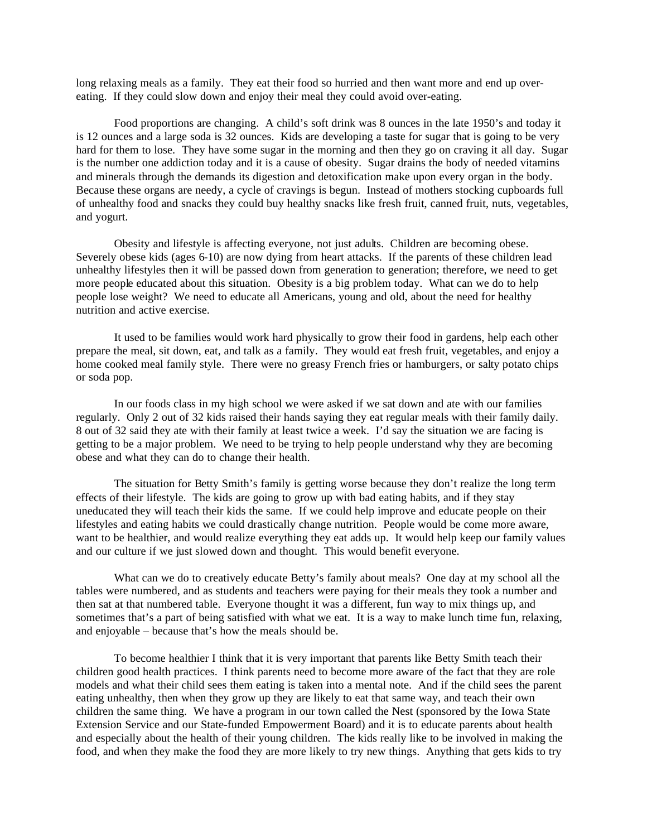long relaxing meals as a family. They eat their food so hurried and then want more and end up overeating. If they could slow down and enjoy their meal they could avoid over-eating.

Food proportions are changing. A child's soft drink was 8 ounces in the late 1950's and today it is 12 ounces and a large soda is 32 ounces. Kids are developing a taste for sugar that is going to be very hard for them to lose. They have some sugar in the morning and then they go on craving it all day. Sugar is the number one addiction today and it is a cause of obesity. Sugar drains the body of needed vitamins and minerals through the demands its digestion and detoxification make upon every organ in the body. Because these organs are needy, a cycle of cravings is begun. Instead of mothers stocking cupboards full of unhealthy food and snacks they could buy healthy snacks like fresh fruit, canned fruit, nuts, vegetables, and yogurt.

Obesity and lifestyle is affecting everyone, not just adults. Children are becoming obese. Severely obese kids (ages 6-10) are now dying from heart attacks. If the parents of these children lead unhealthy lifestyles then it will be passed down from generation to generation; therefore, we need to get more people educated about this situation. Obesity is a big problem today. What can we do to help people lose weight? We need to educate all Americans, young and old, about the need for healthy nutrition and active exercise.

It used to be families would work hard physically to grow their food in gardens, help each other prepare the meal, sit down, eat, and talk as a family. They would eat fresh fruit, vegetables, and enjoy a home cooked meal family style. There were no greasy French fries or hamburgers, or salty potato chips or soda pop.

In our foods class in my high school we were asked if we sat down and ate with our families regularly. Only 2 out of 32 kids raised their hands saying they eat regular meals with their family daily. 8 out of 32 said they ate with their family at least twice a week. I'd say the situation we are facing is getting to be a major problem. We need to be trying to help people understand why they are becoming obese and what they can do to change their health.

The situation for Betty Smith's family is getting worse because they don't realize the long term effects of their lifestyle. The kids are going to grow up with bad eating habits, and if they stay uneducated they will teach their kids the same. If we could help improve and educate people on their lifestyles and eating habits we could drastically change nutrition. People would be come more aware, want to be healthier, and would realize everything they eat adds up. It would help keep our family values and our culture if we just slowed down and thought. This would benefit everyone.

What can we do to creatively educate Betty's family about meals? One day at my school all the tables were numbered, and as students and teachers were paying for their meals they took a number and then sat at that numbered table. Everyone thought it was a different, fun way to mix things up, and sometimes that's a part of being satisfied with what we eat. It is a way to make lunch time fun, relaxing, and enjoyable – because that's how the meals should be.

To become healthier I think that it is very important that parents like Betty Smith teach their children good health practices. I think parents need to become more aware of the fact that they are role models and what their child sees them eating is taken into a mental note. And if the child sees the parent eating unhealthy, then when they grow up they are likely to eat that same way, and teach their own children the same thing. We have a program in our town called the Nest (sponsored by the Iowa State Extension Service and our State-funded Empowerment Board) and it is to educate parents about health and especially about the health of their young children. The kids really like to be involved in making the food, and when they make the food they are more likely to try new things. Anything that gets kids to try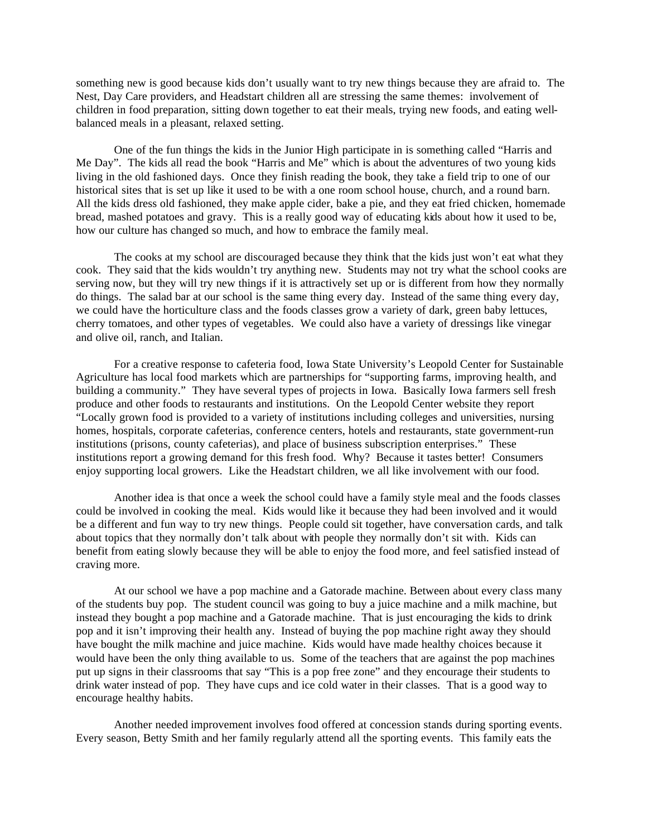something new is good because kids don't usually want to try new things because they are afraid to. The Nest, Day Care providers, and Headstart children all are stressing the same themes: involvement of children in food preparation, sitting down together to eat their meals, trying new foods, and eating wellbalanced meals in a pleasant, relaxed setting.

One of the fun things the kids in the Junior High participate in is something called "Harris and Me Day". The kids all read the book "Harris and Me" which is about the adventures of two young kids living in the old fashioned days. Once they finish reading the book, they take a field trip to one of our historical sites that is set up like it used to be with a one room school house, church, and a round barn. All the kids dress old fashioned, they make apple cider, bake a pie, and they eat fried chicken, homemade bread, mashed potatoes and gravy. This is a really good way of educating kids about how it used to be, how our culture has changed so much, and how to embrace the family meal.

The cooks at my school are discouraged because they think that the kids just won't eat what they cook. They said that the kids wouldn't try anything new. Students may not try what the school cooks are serving now, but they will try new things if it is attractively set up or is different from how they normally do things. The salad bar at our school is the same thing every day. Instead of the same thing every day, we could have the horticulture class and the foods classes grow a variety of dark, green baby lettuces, cherry tomatoes, and other types of vegetables. We could also have a variety of dressings like vinegar and olive oil, ranch, and Italian.

For a creative response to cafeteria food, Iowa State University's Leopold Center for Sustainable Agriculture has local food markets which are partnerships for "supporting farms, improving health, and building a community." They have several types of projects in Iowa. Basically Iowa farmers sell fresh produce and other foods to restaurants and institutions. On the Leopold Center website they report "Locally grown food is provided to a variety of institutions including colleges and universities, nursing homes, hospitals, corporate cafeterias, conference centers, hotels and restaurants, state government-run institutions (prisons, county cafeterias), and place of business subscription enterprises." These institutions report a growing demand for this fresh food. Why? Because it tastes better! Consumers enjoy supporting local growers. Like the Headstart children, we all like involvement with our food.

Another idea is that once a week the school could have a family style meal and the foods classes could be involved in cooking the meal. Kids would like it because they had been involved and it would be a different and fun way to try new things. People could sit together, have conversation cards, and talk about topics that they normally don't talk about with people they normally don't sit with. Kids can benefit from eating slowly because they will be able to enjoy the food more, and feel satisfied instead of craving more.

At our school we have a pop machine and a Gatorade machine. Between about every class many of the students buy pop. The student council was going to buy a juice machine and a milk machine, but instead they bought a pop machine and a Gatorade machine. That is just encouraging the kids to drink pop and it isn't improving their health any. Instead of buying the pop machine right away they should have bought the milk machine and juice machine. Kids would have made healthy choices because it would have been the only thing available to us. Some of the teachers that are against the pop machines put up signs in their classrooms that say "This is a pop free zone" and they encourage their students to drink water instead of pop. They have cups and ice cold water in their classes. That is a good way to encourage healthy habits.

Another needed improvement involves food offered at concession stands during sporting events. Every season, Betty Smith and her family regularly attend all the sporting events. This family eats the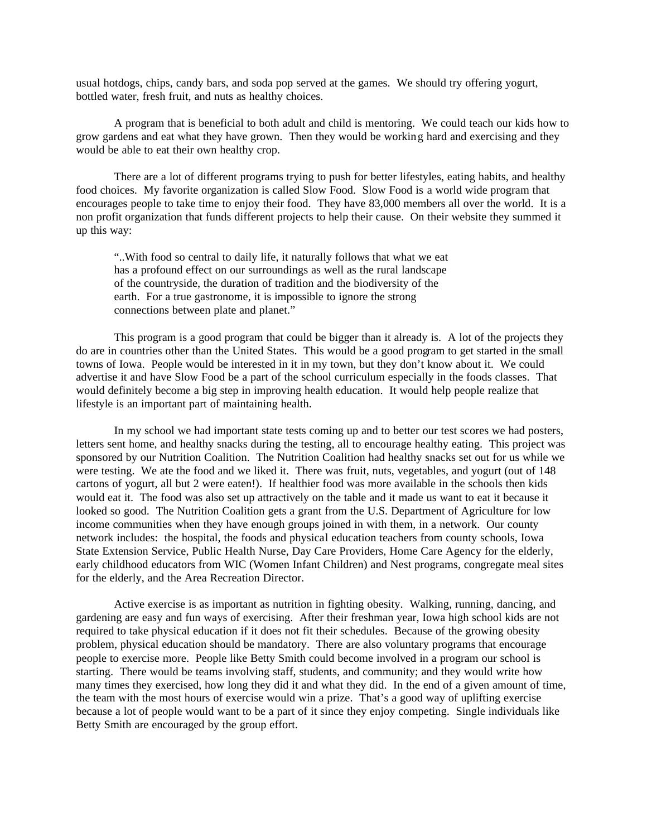usual hotdogs, chips, candy bars, and soda pop served at the games. We should try offering yogurt, bottled water, fresh fruit, and nuts as healthy choices.

A program that is beneficial to both adult and child is mentoring. We could teach our kids how to grow gardens and eat what they have grown. Then they would be working hard and exercising and they would be able to eat their own healthy crop.

There are a lot of different programs trying to push for better lifestyles, eating habits, and healthy food choices. My favorite organization is called Slow Food. Slow Food is a world wide program that encourages people to take time to enjoy their food. They have 83,000 members all over the world. It is a non profit organization that funds different projects to help their cause. On their website they summed it up this way:

"..With food so central to daily life, it naturally follows that what we eat has a profound effect on our surroundings as well as the rural landscape of the countryside, the duration of tradition and the biodiversity of the earth. For a true gastronome, it is impossible to ignore the strong connections between plate and planet."

This program is a good program that could be bigger than it already is. A lot of the projects they do are in countries other than the United States. This would be a good program to get started in the small towns of Iowa. People would be interested in it in my town, but they don't know about it. We could advertise it and have Slow Food be a part of the school curriculum especially in the foods classes. That would definitely become a big step in improving health education. It would help people realize that lifestyle is an important part of maintaining health.

In my school we had important state tests coming up and to better our test scores we had posters, letters sent home, and healthy snacks during the testing, all to encourage healthy eating. This project was sponsored by our Nutrition Coalition. The Nutrition Coalition had healthy snacks set out for us while we were testing. We ate the food and we liked it. There was fruit, nuts, vegetables, and yogurt (out of 148 cartons of yogurt, all but 2 were eaten!). If healthier food was more available in the schools then kids would eat it. The food was also set up attractively on the table and it made us want to eat it because it looked so good. The Nutrition Coalition gets a grant from the U.S. Department of Agriculture for low income communities when they have enough groups joined in with them, in a network. Our county network includes: the hospital, the foods and physical education teachers from county schools, Iowa State Extension Service, Public Health Nurse, Day Care Providers, Home Care Agency for the elderly, early childhood educators from WIC (Women Infant Children) and Nest programs, congregate meal sites for the elderly, and the Area Recreation Director.

Active exercise is as important as nutrition in fighting obesity. Walking, running, dancing, and gardening are easy and fun ways of exercising. After their freshman year, Iowa high school kids are not required to take physical education if it does not fit their schedules. Because of the growing obesity problem, physical education should be mandatory. There are also voluntary programs that encourage people to exercise more. People like Betty Smith could become involved in a program our school is starting. There would be teams involving staff, students, and community; and they would write how many times they exercised, how long they did it and what they did. In the end of a given amount of time, the team with the most hours of exercise would win a prize. That's a good way of uplifting exercise because a lot of people would want to be a part of it since they enjoy competing. Single individuals like Betty Smith are encouraged by the group effort.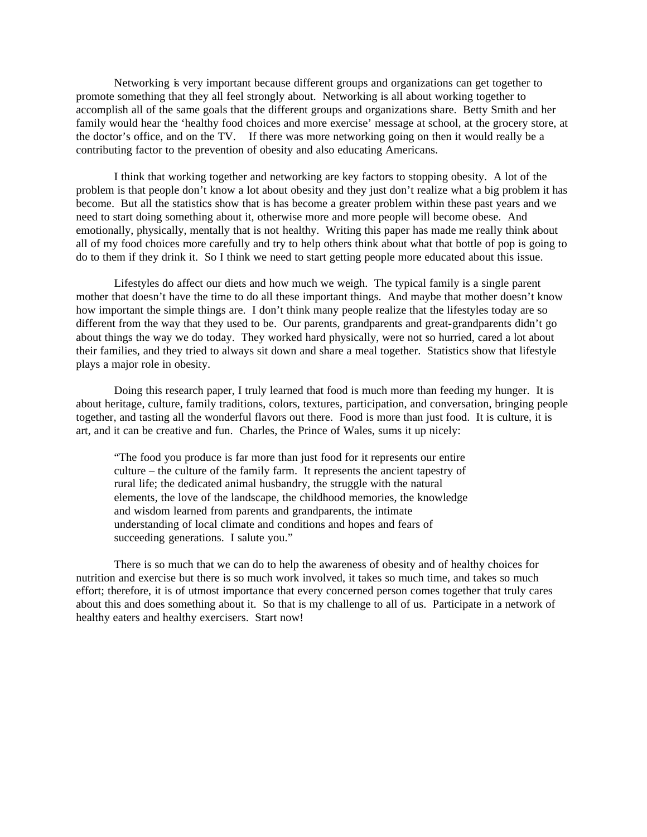Networking is very important because different groups and organizations can get together to promote something that they all feel strongly about. Networking is all about working together to accomplish all of the same goals that the different groups and organizations share. Betty Smith and her family would hear the 'healthy food choices and more exercise' message at school, at the grocery store, at the doctor's office, and on the TV. If there was more networking going on then it would really be a contributing factor to the prevention of obesity and also educating Americans.

I think that working together and networking are key factors to stopping obesity. A lot of the problem is that people don't know a lot about obesity and they just don't realize what a big problem it has become. But all the statistics show that is has become a greater problem within these past years and we need to start doing something about it, otherwise more and more people will become obese. And emotionally, physically, mentally that is not healthy. Writing this paper has made me really think about all of my food choices more carefully and try to help others think about what that bottle of pop is going to do to them if they drink it. So I think we need to start getting people more educated about this issue.

Lifestyles do affect our diets and how much we weigh. The typical family is a single parent mother that doesn't have the time to do all these important things. And maybe that mother doesn't know how important the simple things are. I don't think many people realize that the lifestyles today are so different from the way that they used to be. Our parents, grandparents and great-grandparents didn't go about things the way we do today. They worked hard physically, were not so hurried, cared a lot about their families, and they tried to always sit down and share a meal together. Statistics show that lifestyle plays a major role in obesity.

Doing this research paper, I truly learned that food is much more than feeding my hunger. It is about heritage, culture, family traditions, colors, textures, participation, and conversation, bringing people together, and tasting all the wonderful flavors out there. Food is more than just food. It is culture, it is art, and it can be creative and fun. Charles, the Prince of Wales, sums it up nicely:

"The food you produce is far more than just food for it represents our entire culture – the culture of the family farm. It represents the ancient tapestry of rural life; the dedicated animal husbandry, the struggle with the natural elements, the love of the landscape, the childhood memories, the knowledge and wisdom learned from parents and grandparents, the intimate understanding of local climate and conditions and hopes and fears of succeeding generations. I salute you."

There is so much that we can do to help the awareness of obesity and of healthy choices for nutrition and exercise but there is so much work involved, it takes so much time, and takes so much effort; therefore, it is of utmost importance that every concerned person comes together that truly cares about this and does something about it. So that is my challenge to all of us. Participate in a network of healthy eaters and healthy exercisers. Start now!